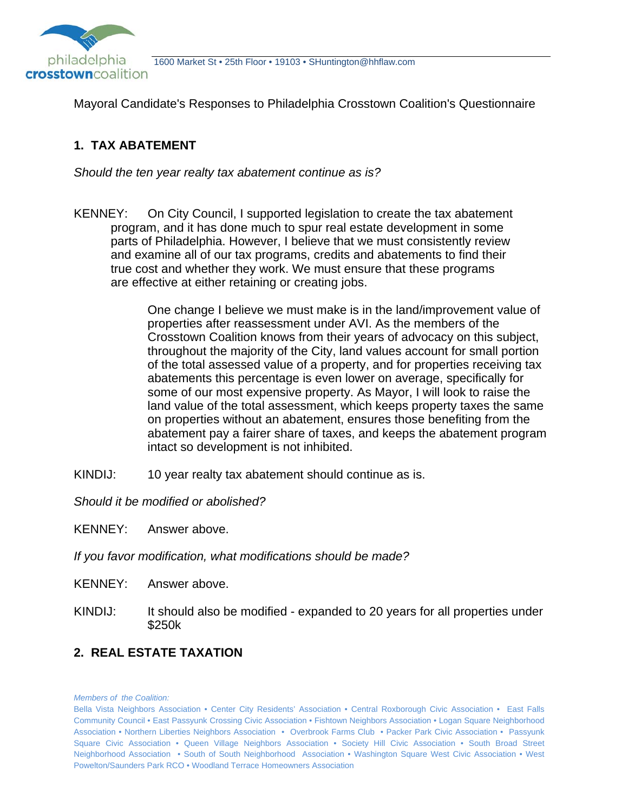

Mayoral Candidate's Responses to Philadelphia Crosstown Coalition's Questionnaire

# **1. TAX ABATEMENT**

*Should the ten year realty tax abatement continue as is?* 

KENNEY: On City Council, I supported legislation to create the tax abatement program, and it has done much to spur real estate development in some parts of Philadelphia. However, I believe that we must consistently review and examine all of our tax programs, credits and abatements to find their true cost and whether they work. We must ensure that these programs are effective at either retaining or creating jobs.

> One change I believe we must make is in the land/improvement value of properties after reassessment under AVI. As the members of the Crosstown Coalition knows from their years of advocacy on this subject, throughout the majority of the City, land values account for small portion of the total assessed value of a property, and for properties receiving tax abatements this percentage is even lower on average, specifically for some of our most expensive property. As Mayor, I will look to raise the land value of the total assessment, which keeps property taxes the same on properties without an abatement, ensures those benefiting from the abatement pay a fairer share of taxes, and keeps the abatement program intact so development is not inhibited.

KINDIJ: 10 year realty tax abatement should continue as is.

*Should it be modified or abolished?* 

KENNEY: Answer above.

*If you favor modification, what modifications should be made?*

KENNEY: Answer above.

KINDIJ: It should also be modified - expanded to 20 years for all properties under \$250k

# **2. REAL ESTATE TAXATION**

Bella Vista Neighbors Association • Center City Residents' Association • Central Roxborough Civic Association • East Falls Community Council • East Passyunk Crossing Civic Association • Fishtown Neighbors Association • Logan Square Neighborhood Association • Northern Liberties Neighbors Association • Overbrook Farms Club • Packer Park Civic Association • Passyunk Square Civic Association • Queen Village Neighbors Association • Society Hill Civic Association • South Broad Street Neighborhood Association • South of South Neighborhood Association • Washington Square West Civic Association • West Powelton/Saunders Park RCO • Woodland Terrace Homeowners Association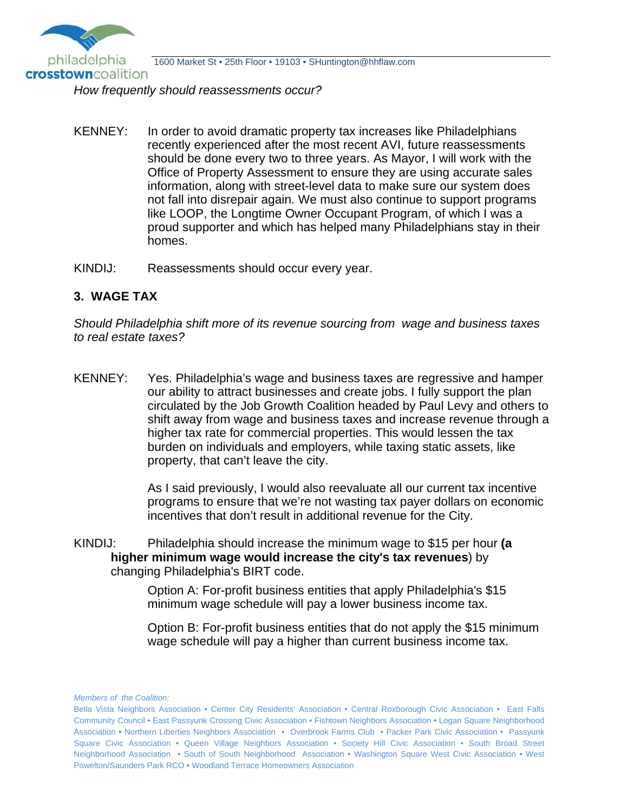

*How frequently should reassessments occur?* 

- KENNEY: In order to avoid dramatic property tax increases like Philadelphians recently experienced after the most recent AVI, future reassessments should be done every two to three years. As Mayor, I will work with the Office of Property Assessment to ensure they are using accurate sales information, along with street-level data to make sure our system does not fall into disrepair again. We must also continue to support programs like LOOP, the Longtime Owner Occupant Program, of which I was a proud supporter and which has helped many Philadelphians stay in their homes.
- KINDIJ: Reassessments should occur every year.

### **3. WAGE TAX**

*Should Philadelphia shift more of its revenue sourcing from wage and business taxes to real estate taxes?* 

KENNEY: Yes. Philadelphia's wage and business taxes are regressive and hamper our ability to attract businesses and create jobs. I fully support the plan circulated by the Job Growth Coalition headed by Paul Levy and others to shift away from wage and business taxes and increase revenue through a higher tax rate for commercial properties. This would lessen the tax burden on individuals and employers, while taxing static assets, like property, that can't leave the city.

> As I said previously, I would also reevaluate all our current tax incentive programs to ensure that we're not wasting tax payer dollars on economic incentives that don't result in additional revenue for the City.

KINDIJ: Philadelphia should increase the minimum wage to \$15 per hour **(a higher minimum wage would increase the city's tax revenues**) by changing Philadelphia's BIRT code.

> Option A: For-profit business entities that apply Philadelphia's \$15 minimum wage schedule will pay a lower business income tax.

 Option B: For-profit business entities that do not apply the \$15 minimum wage schedule will pay a higher than current business income tax.

Bella Vista Neighbors Association • Center City Residents' Association • Central Roxborough Civic Association • East Falls Community Council • East Passyunk Crossing Civic Association • Fishtown Neighbors Association • Logan Square Neighborhood Association • Northern Liberties Neighbors Association • Overbrook Farms Club • Packer Park Civic Association • Passyunk Square Civic Association • Queen Village Neighbors Association • Society Hill Civic Association • South Broad Street Neighborhood Association • South of South Neighborhood Association • Washington Square West Civic Association • West Powelton/Saunders Park RCO • Woodland Terrace Homeowners Association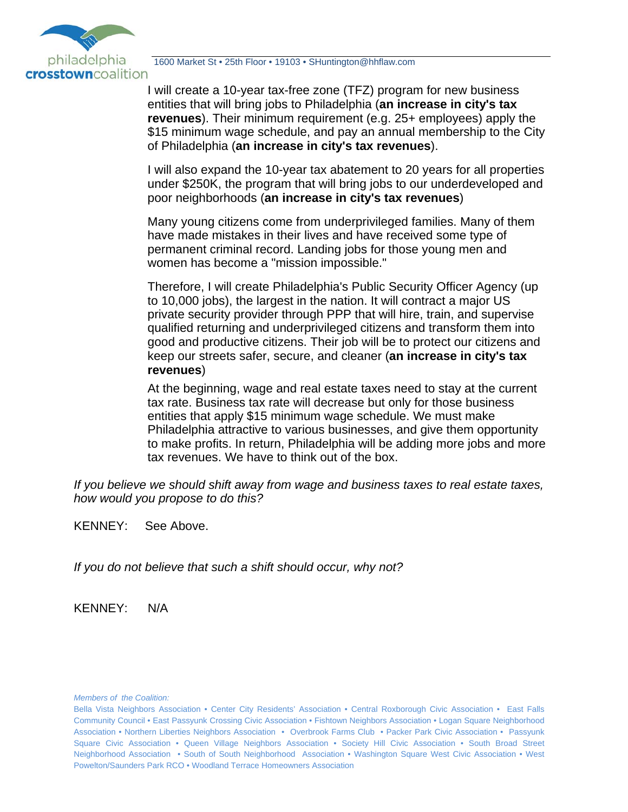

I will create a 10-year tax-free zone (TFZ) program for new business entities that will bring jobs to Philadelphia (**an increase in city's tax revenues**). Their minimum requirement (e.g. 25+ employees) apply the \$15 minimum wage schedule, and pay an annual membership to the City of Philadelphia (**an increase in city's tax revenues**).

I will also expand the 10-year tax abatement to 20 years for all properties under \$250K, the program that will bring jobs to our underdeveloped and poor neighborhoods (**an increase in city's tax revenues**)

Many young citizens come from underprivileged families. Many of them have made mistakes in their lives and have received some type of permanent criminal record. Landing jobs for those young men and women has become a "mission impossible."

Therefore, I will create Philadelphia's Public Security Officer Agency (up to 10,000 jobs), the largest in the nation. It will contract a major US private security provider through PPP that will hire, train, and supervise qualified returning and underprivileged citizens and transform them into good and productive citizens. Their job will be to protect our citizens and keep our streets safer, secure, and cleaner (**an increase in city's tax revenues**)

At the beginning, wage and real estate taxes need to stay at the current tax rate. Business tax rate will decrease but only for those business entities that apply \$15 minimum wage schedule. We must make Philadelphia attractive to various businesses, and give them opportunity to make profits. In return, Philadelphia will be adding more jobs and more tax revenues. We have to think out of the box.

*If you believe we should shift away from wage and business taxes to real estate taxes, how would you propose to do this?* 

KENNEY: See Above.

*If you do not believe that such a shift should occur, why not?* 

KENNEY: N/A

Bella Vista Neighbors Association • Center City Residents' Association • Central Roxborough Civic Association • East Falls Community Council • East Passyunk Crossing Civic Association • Fishtown Neighbors Association • Logan Square Neighborhood Association • Northern Liberties Neighbors Association • Overbrook Farms Club • Packer Park Civic Association • Passyunk Square Civic Association • Queen Village Neighbors Association • Society Hill Civic Association • South Broad Street Neighborhood Association • South of South Neighborhood Association • Washington Square West Civic Association • West Powelton/Saunders Park RCO • Woodland Terrace Homeowners Association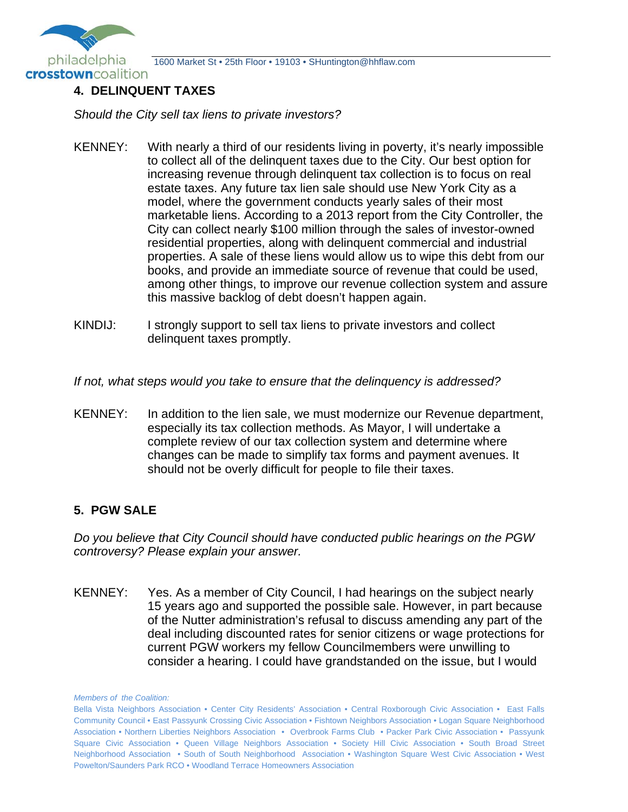

### **4. DELINQUENT TAXES**

*Should the City sell tax liens to private investors?* 

- KENNEY: With nearly a third of our residents living in poverty, it's nearly impossible to collect all of the delinquent taxes due to the City. Our best option for increasing revenue through delinquent tax collection is to focus on real estate taxes. Any future tax lien sale should use New York City as a model, where the government conducts yearly sales of their most marketable liens. According to a 2013 report from the City Controller, the City can collect nearly \$100 million through the sales of investor-owned residential properties, along with delinquent commercial and industrial properties. A sale of these liens would allow us to wipe this debt from our books, and provide an immediate source of revenue that could be used, among other things, to improve our revenue collection system and assure this massive backlog of debt doesn't happen again.
- KINDIJ: I strongly support to sell tax liens to private investors and collect delinquent taxes promptly.

*If not, what steps would you take to ensure that the delinquency is addressed?* 

KENNEY: In addition to the lien sale, we must modernize our Revenue department, especially its tax collection methods. As Mayor, I will undertake a complete review of our tax collection system and determine where changes can be made to simplify tax forms and payment avenues. It should not be overly difficult for people to file their taxes.

## **5. PGW SALE**

*Do you believe that City Council should have conducted public hearings on the PGW controversy? Please explain your answer.* 

KENNEY: Yes. As a member of City Council, I had hearings on the subject nearly 15 years ago and supported the possible sale. However, in part because of the Nutter administration's refusal to discuss amending any part of the deal including discounted rates for senior citizens or wage protections for current PGW workers my fellow Councilmembers were unwilling to consider a hearing. I could have grandstanded on the issue, but I would

*Members of the Coalition:*

Bella Vista Neighbors Association • Center City Residents' Association • Central Roxborough Civic Association • East Falls Community Council • East Passyunk Crossing Civic Association • Fishtown Neighbors Association • Logan Square Neighborhood Association • Northern Liberties Neighbors Association • Overbrook Farms Club • Packer Park Civic Association • Passyunk Square Civic Association • Queen Village Neighbors Association • Society Hill Civic Association • South Broad Street Neighborhood Association • South of South Neighborhood Association • Washington Square West Civic Association • West Powelton/Saunders Park RCO • Woodland Terrace Homeowners Association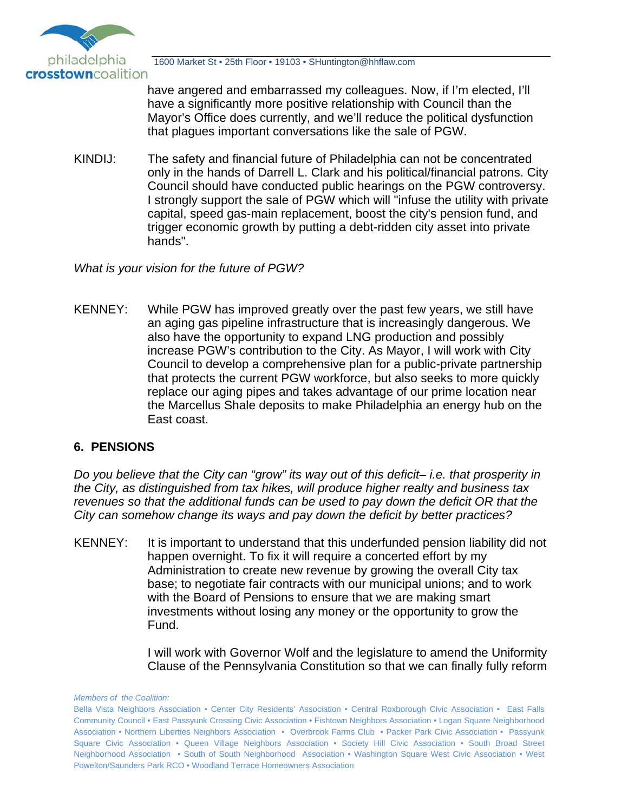

have angered and embarrassed my colleagues. Now, if I'm elected, I'll have a significantly more positive relationship with Council than the Mayor's Office does currently, and we'll reduce the political dysfunction that plagues important conversations like the sale of PGW.

KINDIJ: The safety and financial future of Philadelphia can not be concentrated only in the hands of Darrell L. Clark and his political/financial patrons. City Council should have conducted public hearings on the PGW controversy. I strongly support the sale of PGW which will "infuse the utility with private capital, speed gas-main replacement, boost the city's pension fund, and trigger economic growth by putting a debt-ridden city asset into private hands".

*What is your vision for the future of PGW?* 

KENNEY: While PGW has improved greatly over the past few years, we still have an aging gas pipeline infrastructure that is increasingly dangerous. We also have the opportunity to expand LNG production and possibly increase PGW's contribution to the City. As Mayor, I will work with City Council to develop a comprehensive plan for a public-private partnership that protects the current PGW workforce, but also seeks to more quickly replace our aging pipes and takes advantage of our prime location near the Marcellus Shale deposits to make Philadelphia an energy hub on the East coast.

## **6. PENSIONS**

*Do you believe that the City can "grow" its way out of this deficit– i.e. that prosperity in the City, as distinguished from tax hikes, will produce higher realty and business tax revenues so that the additional funds can be used to pay down the deficit OR that the City can somehow change its ways and pay down the deficit by better practices?* 

KENNEY: It is important to understand that this underfunded pension liability did not happen overnight. To fix it will require a concerted effort by my Administration to create new revenue by growing the overall City tax base; to negotiate fair contracts with our municipal unions; and to work with the Board of Pensions to ensure that we are making smart investments without losing any money or the opportunity to grow the Fund.

> I will work with Governor Wolf and the legislature to amend the Uniformity Clause of the Pennsylvania Constitution so that we can finally fully reform

Bella Vista Neighbors Association • Center City Residents' Association • Central Roxborough Civic Association • East Falls Community Council • East Passyunk Crossing Civic Association • Fishtown Neighbors Association • Logan Square Neighborhood Association • Northern Liberties Neighbors Association • Overbrook Farms Club • Packer Park Civic Association • Passyunk Square Civic Association • Queen Village Neighbors Association • Society Hill Civic Association • South Broad Street Neighborhood Association • South of South Neighborhood Association • Washington Square West Civic Association • West Powelton/Saunders Park RCO • Woodland Terrace Homeowners Association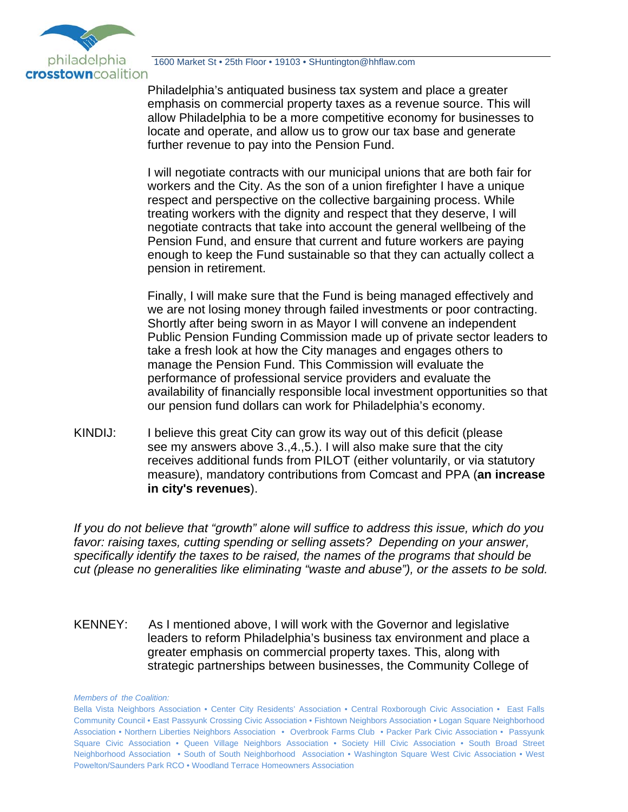

 Philadelphia's antiquated business tax system and place a greater emphasis on commercial property taxes as a revenue source. This will allow Philadelphia to be a more competitive economy for businesses to locate and operate, and allow us to grow our tax base and generate further revenue to pay into the Pension Fund.

 I will negotiate contracts with our municipal unions that are both fair for workers and the City. As the son of a union firefighter I have a unique respect and perspective on the collective bargaining process. While treating workers with the dignity and respect that they deserve, I will negotiate contracts that take into account the general wellbeing of the Pension Fund, and ensure that current and future workers are paying enough to keep the Fund sustainable so that they can actually collect a pension in retirement.

 Finally, I will make sure that the Fund is being managed effectively and we are not losing money through failed investments or poor contracting. Shortly after being sworn in as Mayor I will convene an independent Public Pension Funding Commission made up of private sector leaders to take a fresh look at how the City manages and engages others to manage the Pension Fund. This Commission will evaluate the performance of professional service providers and evaluate the availability of financially responsible local investment opportunities so that our pension fund dollars can work for Philadelphia's economy.

KINDIJ: I believe this great City can grow its way out of this deficit (please see my answers above 3.,4.,5.). I will also make sure that the city receives additional funds from PILOT (either voluntarily, or via statutory measure), mandatory contributions from Comcast and PPA (**an increase in city's revenues**).

*If you do not believe that "growth" alone will suffice to address this issue, which do you favor: raising taxes, cutting spending or selling assets? Depending on your answer, specifically identify the taxes to be raised, the names of the programs that should be cut (please no generalities like eliminating "waste and abuse"), or the assets to be sold.* 

KENNEY: As I mentioned above, I will work with the Governor and legislative leaders to reform Philadelphia's business tax environment and place a greater emphasis on commercial property taxes. This, along with strategic partnerships between businesses, the Community College of

*Members of the Coalition:*

Bella Vista Neighbors Association • Center City Residents' Association • Central Roxborough Civic Association • East Falls Community Council • East Passyunk Crossing Civic Association • Fishtown Neighbors Association • Logan Square Neighborhood Association • Northern Liberties Neighbors Association • Overbrook Farms Club • Packer Park Civic Association • Passyunk Square Civic Association • Queen Village Neighbors Association • Society Hill Civic Association • South Broad Street Neighborhood Association • South of South Neighborhood Association • Washington Square West Civic Association • West Powelton/Saunders Park RCO • Woodland Terrace Homeowners Association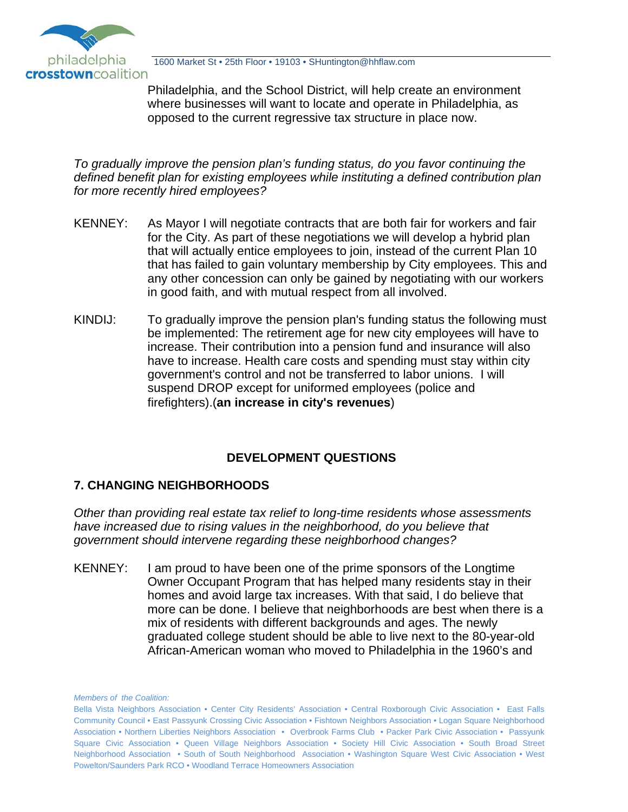

Philadelphia, and the School District, will help create an environment where businesses will want to locate and operate in Philadelphia, as opposed to the current regressive tax structure in place now.

*To gradually improve the pension plan's funding status, do you favor continuing the defined benefit plan for existing employees while instituting a defined contribution plan for more recently hired employees?* 

- KENNEY: As Mayor I will negotiate contracts that are both fair for workers and fair for the City. As part of these negotiations we will develop a hybrid plan that will actually entice employees to join, instead of the current Plan 10 that has failed to gain voluntary membership by City employees. This and any other concession can only be gained by negotiating with our workers in good faith, and with mutual respect from all involved.
- KINDIJ: To gradually improve the pension plan's funding status the following must be implemented: The retirement age for new city employees will have to increase. Their contribution into a pension fund and insurance will also have to increase. Health care costs and spending must stay within city government's control and not be transferred to labor unions. I will suspend DROP except for uniformed employees (police and firefighters).(**an increase in city's revenues**)

# **DEVELOPMENT QUESTIONS**

## **7. CHANGING NEIGHBORHOODS**

*Other than providing real estate tax relief to long-time residents whose assessments have increased due to rising values in the neighborhood, do you believe that government should intervene regarding these neighborhood changes?* 

KENNEY: I am proud to have been one of the prime sponsors of the Longtime Owner Occupant Program that has helped many residents stay in their homes and avoid large tax increases. With that said, I do believe that more can be done. I believe that neighborhoods are best when there is a mix of residents with different backgrounds and ages. The newly graduated college student should be able to live next to the 80-year-old African-American woman who moved to Philadelphia in the 1960's and

Bella Vista Neighbors Association • Center City Residents' Association • Central Roxborough Civic Association • East Falls Community Council • East Passyunk Crossing Civic Association • Fishtown Neighbors Association • Logan Square Neighborhood Association • Northern Liberties Neighbors Association • Overbrook Farms Club • Packer Park Civic Association • Passyunk Square Civic Association • Queen Village Neighbors Association • Society Hill Civic Association • South Broad Street Neighborhood Association • South of South Neighborhood Association • Washington Square West Civic Association • West Powelton/Saunders Park RCO • Woodland Terrace Homeowners Association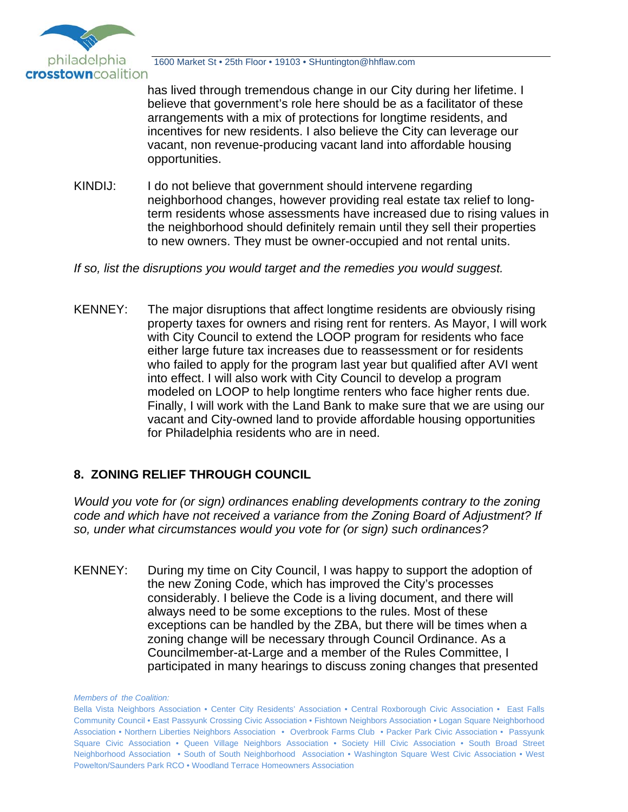

has lived through tremendous change in our City during her lifetime. I believe that government's role here should be as a facilitator of these arrangements with a mix of protections for longtime residents, and incentives for new residents. I also believe the City can leverage our vacant, non revenue-producing vacant land into affordable housing opportunities.

KINDIJ: I do not believe that government should intervene regarding neighborhood changes, however providing real estate tax relief to longterm residents whose assessments have increased due to rising values in the neighborhood should definitely remain until they sell their properties to new owners. They must be owner-occupied and not rental units.

*If so, list the disruptions you would target and the remedies you would suggest.*

KENNEY: The major disruptions that affect longtime residents are obviously rising property taxes for owners and rising rent for renters. As Mayor, I will work with City Council to extend the LOOP program for residents who face either large future tax increases due to reassessment or for residents who failed to apply for the program last year but qualified after AVI went into effect. I will also work with City Council to develop a program modeled on LOOP to help longtime renters who face higher rents due. Finally, I will work with the Land Bank to make sure that we are using our vacant and City-owned land to provide affordable housing opportunities for Philadelphia residents who are in need.

## **8. ZONING RELIEF THROUGH COUNCIL**

*Would you vote for (or sign) ordinances enabling developments contrary to the zoning code and which have not received a variance from the Zoning Board of Adjustment? If so, under what circumstances would you vote for (or sign) such ordinances?* 

KENNEY: During my time on City Council, I was happy to support the adoption of the new Zoning Code, which has improved the City's processes considerably. I believe the Code is a living document, and there will always need to be some exceptions to the rules. Most of these exceptions can be handled by the ZBA, but there will be times when a zoning change will be necessary through Council Ordinance. As a Councilmember-at-Large and a member of the Rules Committee, I participated in many hearings to discuss zoning changes that presented

Bella Vista Neighbors Association • Center City Residents' Association • Central Roxborough Civic Association • East Falls Community Council • East Passyunk Crossing Civic Association • Fishtown Neighbors Association • Logan Square Neighborhood Association • Northern Liberties Neighbors Association • Overbrook Farms Club • Packer Park Civic Association • Passyunk Square Civic Association • Queen Village Neighbors Association • Society Hill Civic Association • South Broad Street Neighborhood Association • South of South Neighborhood Association • Washington Square West Civic Association • West Powelton/Saunders Park RCO • Woodland Terrace Homeowners Association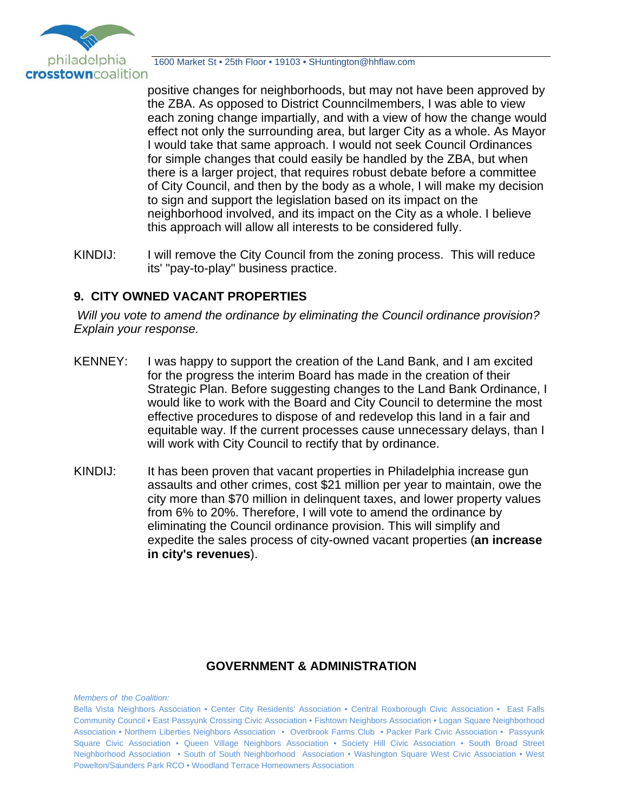

positive changes for neighborhoods, but may not have been approved by the ZBA. As opposed to District Counncilmembers, I was able to view each zoning change impartially, and with a view of how the change would effect not only the surrounding area, but larger City as a whole. As Mayor I would take that same approach. I would not seek Council Ordinances for simple changes that could easily be handled by the ZBA, but when there is a larger project, that requires robust debate before a committee of City Council, and then by the body as a whole, I will make my decision to sign and support the legislation based on its impact on the neighborhood involved, and its impact on the City as a whole. I believe this approach will allow all interests to be considered fully.

KINDIJ: I will remove the City Council from the zoning process. This will reduce its' "pay-to-play" business practice.

### **9. CITY OWNED VACANT PROPERTIES**

*Will you vote to amend the ordinance by eliminating the Council ordinance provision? Explain your response.*

- KENNEY: I was happy to support the creation of the Land Bank, and I am excited for the progress the interim Board has made in the creation of their Strategic Plan. Before suggesting changes to the Land Bank Ordinance, I would like to work with the Board and City Council to determine the most effective procedures to dispose of and redevelop this land in a fair and equitable way. If the current processes cause unnecessary delays, than I will work with City Council to rectify that by ordinance.
- KINDIJ: It has been proven that vacant properties in Philadelphia increase gun assaults and other crimes, cost \$21 million per year to maintain, owe the city more than \$70 million in delinquent taxes, and lower property values from 6% to 20%. Therefore, I will vote to amend the ordinance by eliminating the Council ordinance provision. This will simplify and expedite the sales process of city-owned vacant properties (**an increase in city's revenues**).

#### **GOVERNMENT & ADMINISTRATION**

Bella Vista Neighbors Association • Center City Residents' Association • Central Roxborough Civic Association • East Falls Community Council • East Passyunk Crossing Civic Association • Fishtown Neighbors Association • Logan Square Neighborhood Association • Northern Liberties Neighbors Association • Overbrook Farms Club • Packer Park Civic Association • Passyunk Square Civic Association • Queen Village Neighbors Association • Society Hill Civic Association • South Broad Street Neighborhood Association • South of South Neighborhood Association • Washington Square West Civic Association • West Powelton/Saunders Park RCO • Woodland Terrace Homeowners Association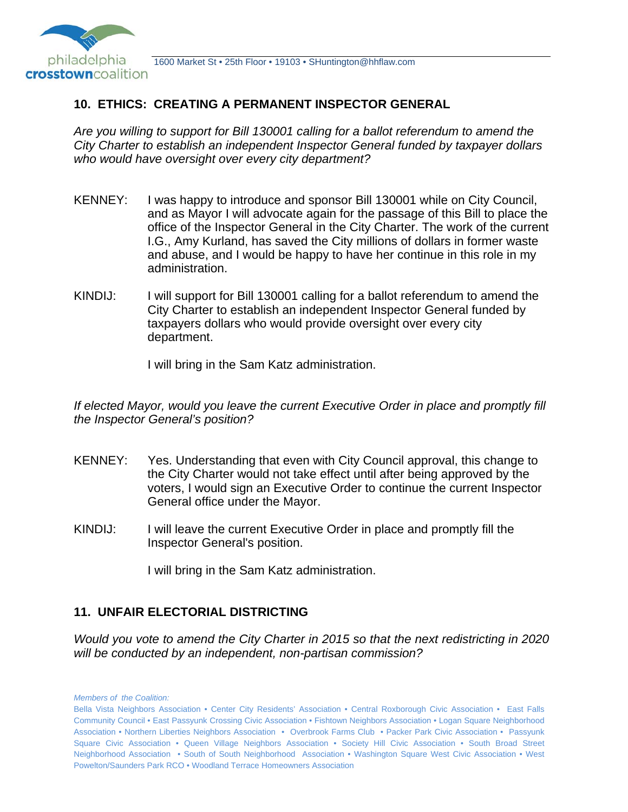

### **10. ETHICS: CREATING A PERMANENT INSPECTOR GENERAL**

*Are you willing to support for Bill 130001 calling for a ballot referendum to amend the City Charter to establish an independent Inspector General funded by taxpayer dollars who would have oversight over every city department?* 

- KENNEY: I was happy to introduce and sponsor Bill 130001 while on City Council, and as Mayor I will advocate again for the passage of this Bill to place the office of the Inspector General in the City Charter. The work of the current I.G., Amy Kurland, has saved the City millions of dollars in former waste and abuse, and I would be happy to have her continue in this role in my administration.
- KINDIJ: I will support for Bill 130001 calling for a ballot referendum to amend the City Charter to establish an independent Inspector General funded by taxpayers dollars who would provide oversight over every city department.

I will bring in the Sam Katz administration.

*If elected Mayor, would you leave the current Executive Order in place and promptly fill the Inspector General's position?* 

- KENNEY: Yes. Understanding that even with City Council approval, this change to the City Charter would not take effect until after being approved by the voters, I would sign an Executive Order to continue the current Inspector General office under the Mayor.
- KINDIJ: I will leave the current Executive Order in place and promptly fill the Inspector General's position.

I will bring in the Sam Katz administration.

#### **11. UNFAIR ELECTORIAL DISTRICTING**

*Would you vote to amend the City Charter in 2015 so that the next redistricting in 2020 will be conducted by an independent, non-partisan commission?* 

Bella Vista Neighbors Association • Center City Residents' Association • Central Roxborough Civic Association • East Falls Community Council • East Passyunk Crossing Civic Association • Fishtown Neighbors Association • Logan Square Neighborhood Association • Northern Liberties Neighbors Association • Overbrook Farms Club • Packer Park Civic Association • Passyunk Square Civic Association • Queen Village Neighbors Association • Society Hill Civic Association • South Broad Street Neighborhood Association • South of South Neighborhood Association • Washington Square West Civic Association • West Powelton/Saunders Park RCO • Woodland Terrace Homeowners Association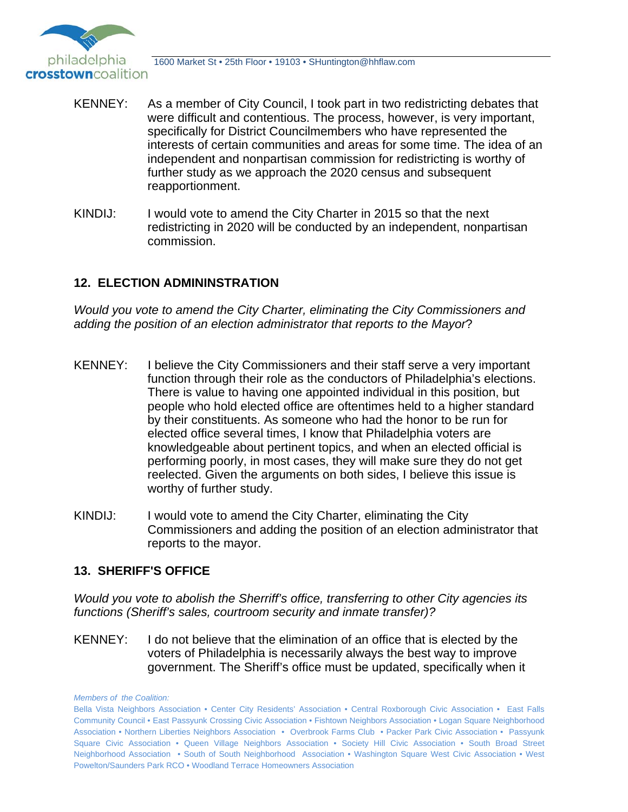

- KENNEY: As a member of City Council, I took part in two redistricting debates that were difficult and contentious. The process, however, is very important, specifically for District Councilmembers who have represented the interests of certain communities and areas for some time. The idea of an independent and nonpartisan commission for redistricting is worthy of further study as we approach the 2020 census and subsequent reapportionment.
- KINDIJ: I would vote to amend the City Charter in 2015 so that the next redistricting in 2020 will be conducted by an independent, nonpartisan commission.

### **12. ELECTION ADMININSTRATION**

*Would you vote to amend the City Charter, eliminating the City Commissioners and adding the position of an election administrator that reports to the Mayor*?

- KENNEY: I believe the City Commissioners and their staff serve a very important function through their role as the conductors of Philadelphia's elections. There is value to having one appointed individual in this position, but people who hold elected office are oftentimes held to a higher standard by their constituents. As someone who had the honor to be run for elected office several times, I know that Philadelphia voters are knowledgeable about pertinent topics, and when an elected official is performing poorly, in most cases, they will make sure they do not get reelected. Given the arguments on both sides, I believe this issue is worthy of further study.
- KINDIJ: I would vote to amend the City Charter, eliminating the City Commissioners and adding the position of an election administrator that reports to the mayor.

#### **13. SHERIFF'S OFFICE**

*Would you vote to abolish the Sherriff's office, transferring to other City agencies its functions (Sheriff's sales, courtroom security and inmate transfer)?* 

KENNEY: I do not believe that the elimination of an office that is elected by the voters of Philadelphia is necessarily always the best way to improve government. The Sheriff's office must be updated, specifically when it

*Members of the Coalition:*

Bella Vista Neighbors Association • Center City Residents' Association • Central Roxborough Civic Association • East Falls Community Council • East Passyunk Crossing Civic Association • Fishtown Neighbors Association • Logan Square Neighborhood Association • Northern Liberties Neighbors Association • Overbrook Farms Club • Packer Park Civic Association • Passyunk Square Civic Association • Queen Village Neighbors Association • Society Hill Civic Association • South Broad Street Neighborhood Association • South of South Neighborhood Association • Washington Square West Civic Association • West Powelton/Saunders Park RCO • Woodland Terrace Homeowners Association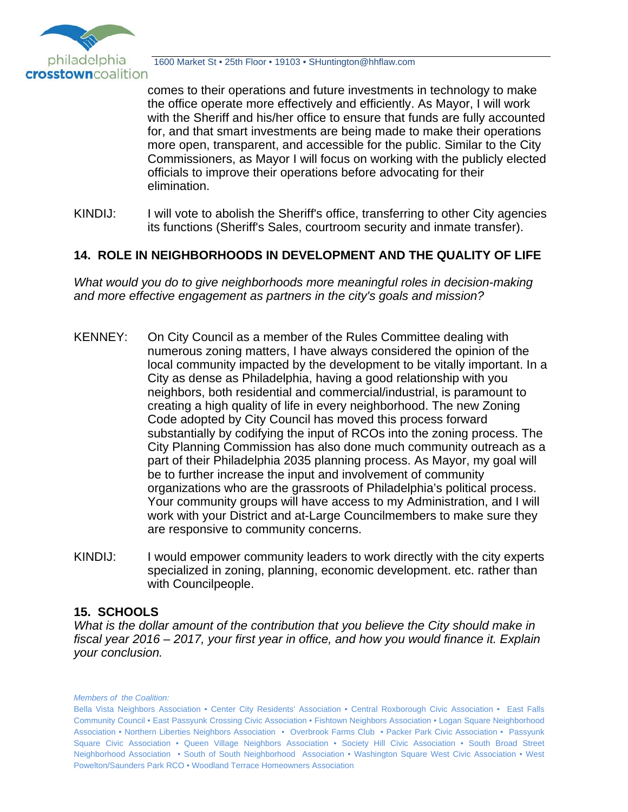

comes to their operations and future investments in technology to make the office operate more effectively and efficiently. As Mayor, I will work with the Sheriff and his/her office to ensure that funds are fully accounted for, and that smart investments are being made to make their operations more open, transparent, and accessible for the public. Similar to the City Commissioners, as Mayor I will focus on working with the publicly elected officials to improve their operations before advocating for their elimination.

KINDIJ: I will vote to abolish the Sheriff's office, transferring to other City agencies its functions (Sheriff's Sales, courtroom security and inmate transfer).

### **14. ROLE IN NEIGHBORHOODS IN DEVELOPMENT AND THE QUALITY OF LIFE**

*What would you do to give neighborhoods more meaningful roles in decision-making and more effective engagement as partners in the city's goals and mission?* 

- KENNEY: On City Council as a member of the Rules Committee dealing with numerous zoning matters, I have always considered the opinion of the local community impacted by the development to be vitally important. In a City as dense as Philadelphia, having a good relationship with you neighbors, both residential and commercial/industrial, is paramount to creating a high quality of life in every neighborhood. The new Zoning Code adopted by City Council has moved this process forward substantially by codifying the input of RCOs into the zoning process. The City Planning Commission has also done much community outreach as a part of their Philadelphia 2035 planning process. As Mayor, my goal will be to further increase the input and involvement of community organizations who are the grassroots of Philadelphia's political process. Your community groups will have access to my Administration, and I will work with your District and at-Large Councilmembers to make sure they are responsive to community concerns.
- KINDIJ: I would empower community leaders to work directly with the city experts specialized in zoning, planning, economic development. etc. rather than with Councilpeople.

## **15. SCHOOLS**

*What is the dollar amount of the contribution that you believe the City should make in fiscal year 2016 – 2017, your first year in office, and how you would finance it. Explain your conclusion.* 

*Members of the Coalition:*

Bella Vista Neighbors Association • Center City Residents' Association • Central Roxborough Civic Association • East Falls Community Council • East Passyunk Crossing Civic Association • Fishtown Neighbors Association • Logan Square Neighborhood Association • Northern Liberties Neighbors Association • Overbrook Farms Club • Packer Park Civic Association • Passyunk Square Civic Association • Queen Village Neighbors Association • Society Hill Civic Association • South Broad Street Neighborhood Association • South of South Neighborhood Association • Washington Square West Civic Association • West Powelton/Saunders Park RCO • Woodland Terrace Homeowners Association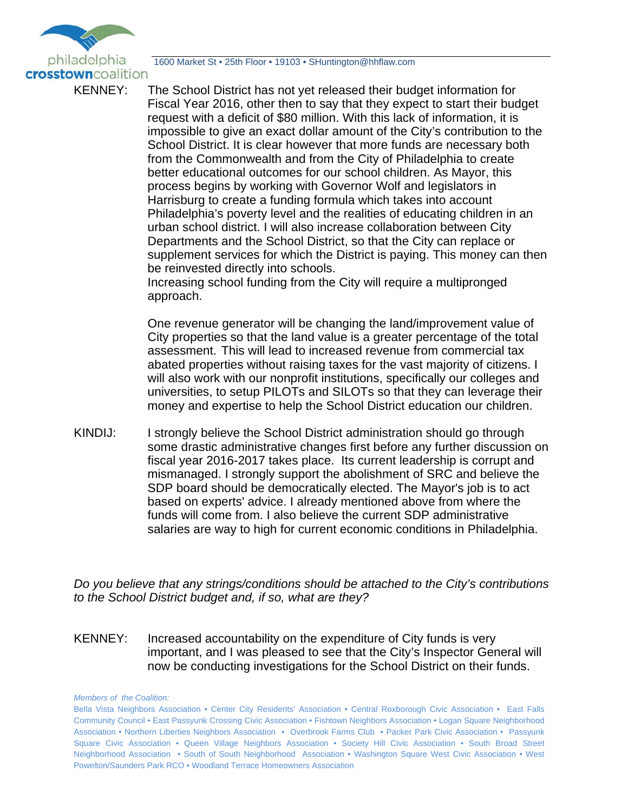

KENNEY: The School District has not yet released their budget information for Fiscal Year 2016, other then to say that they expect to start their budget request with a deficit of \$80 million. With this lack of information, it is impossible to give an exact dollar amount of the City's contribution to the School District. It is clear however that more funds are necessary both from the Commonwealth and from the City of Philadelphia to create better educational outcomes for our school children. As Mayor, this process begins by working with Governor Wolf and legislators in Harrisburg to create a funding formula which takes into account Philadelphia's poverty level and the realities of educating children in an urban school district. I will also increase collaboration between City Departments and the School District, so that the City can replace or supplement services for which the District is paying. This money can then be reinvested directly into schools.

 Increasing school funding from the City will require a multipronged approach.

 One revenue generator will be changing the land/improvement value of City properties so that the land value is a greater percentage of the total assessment. This will lead to increased revenue from commercial tax abated properties without raising taxes for the vast majority of citizens. I will also work with our nonprofit institutions, specifically our colleges and universities, to setup PILOTs and SILOTs so that they can leverage their money and expertise to help the School District education our children.

KINDIJ: I strongly believe the School District administration should go through some drastic administrative changes first before any further discussion on fiscal year 2016-2017 takes place. Its current leadership is corrupt and mismanaged. I strongly support the abolishment of SRC and believe the SDP board should be democratically elected. The Mayor's job is to act based on experts' advice. I already mentioned above from where the funds will come from. I also believe the current SDP administrative salaries are way to high for current economic conditions in Philadelphia.

*Do you believe that any strings/conditions should be attached to the City's contributions to the School District budget and, if so, what are they?* 

KENNEY: Increased accountability on the expenditure of City funds is very important, and I was pleased to see that the City's Inspector General will now be conducting investigations for the School District on their funds.

Bella Vista Neighbors Association • Center City Residents' Association • Central Roxborough Civic Association • East Falls Community Council • East Passyunk Crossing Civic Association • Fishtown Neighbors Association • Logan Square Neighborhood Association • Northern Liberties Neighbors Association • Overbrook Farms Club • Packer Park Civic Association • Passyunk Square Civic Association • Queen Village Neighbors Association • Society Hill Civic Association • South Broad Street Neighborhood Association • South of South Neighborhood Association • Washington Square West Civic Association • West Powelton/Saunders Park RCO • Woodland Terrace Homeowners Association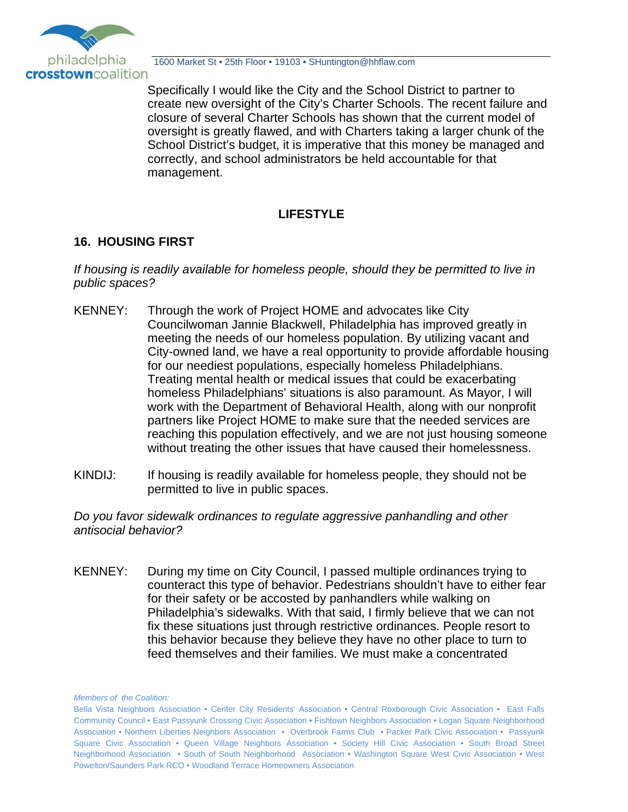

Specifically I would like the City and the School District to partner to create new oversight of the City's Charter Schools. The recent failure and closure of several Charter Schools has shown that the current model of oversight is greatly flawed, and with Charters taking a larger chunk of the School District's budget, it is imperative that this money be managed and correctly, and school administrators be held accountable for that management.

# **LIFESTYLE**

# **16. HOUSING FIRST**

*If housing is readily available for homeless people, should they be permitted to live in public spaces?* 

- KENNEY: Through the work of Project HOME and advocates like City Councilwoman Jannie Blackwell, Philadelphia has improved greatly in meeting the needs of our homeless population. By utilizing vacant and City-owned land, we have a real opportunity to provide affordable housing for our neediest populations, especially homeless Philadelphians. Treating mental health or medical issues that could be exacerbating homeless Philadelphians' situations is also paramount. As Mayor, I will work with the Department of Behavioral Health, along with our nonprofit partners like Project HOME to make sure that the needed services are reaching this population effectively, and we are not just housing someone without treating the other issues that have caused their homelessness.
- KINDIJ: If housing is readily available for homeless people, they should not be permitted to live in public spaces.

*Do you favor sidewalk ordinances to regulate aggressive panhandling and other antisocial behavior?* 

KENNEY: During my time on City Council, I passed multiple ordinances trying to counteract this type of behavior. Pedestrians shouldn't have to either fear for their safety or be accosted by panhandlers while walking on Philadelphia's sidewalks. With that said, I firmly believe that we can not fix these situations just through restrictive ordinances. People resort to this behavior because they believe they have no other place to turn to feed themselves and their families. We must make a concentrated

Bella Vista Neighbors Association • Center City Residents' Association • Central Roxborough Civic Association • East Falls Community Council • East Passyunk Crossing Civic Association • Fishtown Neighbors Association • Logan Square Neighborhood Association • Northern Liberties Neighbors Association • Overbrook Farms Club • Packer Park Civic Association • Passyunk Square Civic Association • Queen Village Neighbors Association • Society Hill Civic Association • South Broad Street Neighborhood Association • South of South Neighborhood Association • Washington Square West Civic Association • West Powelton/Saunders Park RCO • Woodland Terrace Homeowners Association